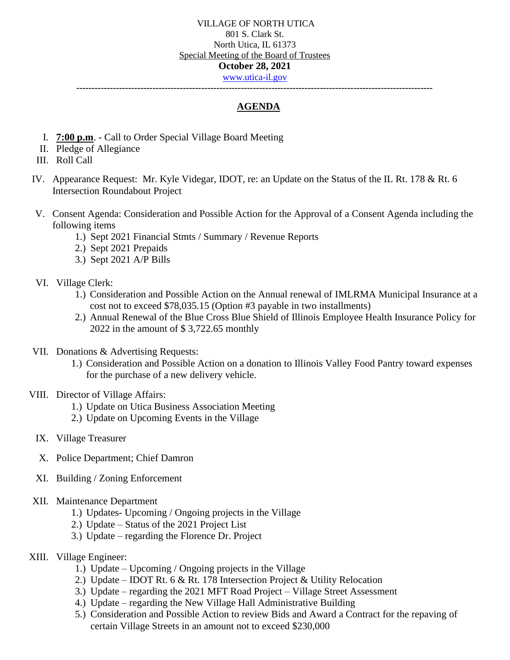## VILLAGE OF NORTH UTICA 801 S. Clark St. North Utica, IL 61373 Special Meeting of the Board of Trustees **October 28, 2021** [www.utica-il.gov](http://www.utica-il.gov/)

**---------------------------------------------------------------------------------------------------------------------**

# **AGENDA**

- I. **7:00 p.m**. Call to Order Special Village Board Meeting
- II. Pledge of Allegiance
- III. Roll Call
- IV. Appearance Request: Mr. Kyle Videgar, IDOT, re: an Update on the Status of the IL Rt. 178 & Rt. 6 Intersection Roundabout Project
- V. Consent Agenda: Consideration and Possible Action for the Approval of a Consent Agenda including the following items
	- 1.) Sept 2021 Financial Stmts / Summary / Revenue Reports
	- 2.) Sept 2021 Prepaids
	- 3.) Sept 2021 A/P Bills

## VI. Village Clerk:

- 1.) Consideration and Possible Action on the Annual renewal of IMLRMA Municipal Insurance at a cost not to exceed \$78,035.15 (Option #3 payable in two installments)
- 2.) Annual Renewal of the Blue Cross Blue Shield of Illinois Employee Health Insurance Policy for 2022 in the amount of \$ 3,722.65 monthly
- VII. Donations & Advertising Requests:
	- 1.) Consideration and Possible Action on a donation to Illinois Valley Food Pantry toward expenses for the purchase of a new delivery vehicle.

## VIII. Director of Village Affairs:

- 1.) Update on Utica Business Association Meeting
- 2.) Update on Upcoming Events in the Village
- IX. Village Treasurer
- X. Police Department; Chief Damron
- XI. Building / Zoning Enforcement

#### XII. Maintenance Department

- 1.) Updates- Upcoming / Ongoing projects in the Village
- 2.) Update Status of the 2021 Project List
- 3.) Update regarding the Florence Dr. Project

## XIII. Village Engineer:

- 1.) Update Upcoming / Ongoing projects in the Village
- 2.) Update IDOT Rt. 6 & Rt. 178 Intersection Project & Utility Relocation
- 3.) Update regarding the 2021 MFT Road Project Village Street Assessment
- 4.) Update regarding the New Village Hall Administrative Building
- 5.) Consideration and Possible Action to review Bids and Award a Contract for the repaving of certain Village Streets in an amount not to exceed \$230,000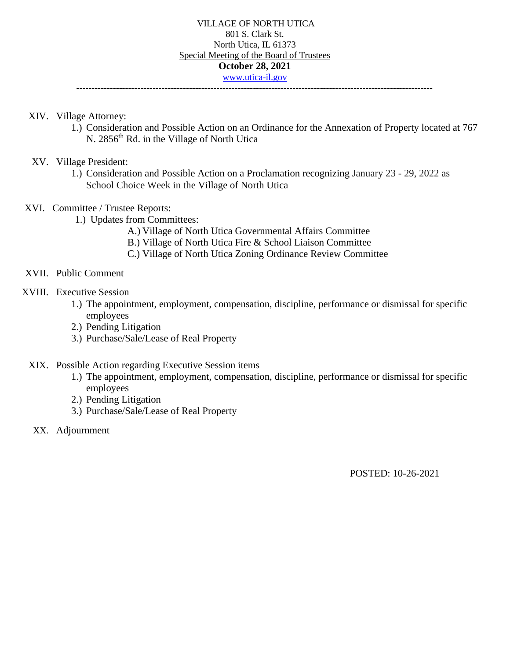- XIV. Village Attorney:
	- 1.) Consideration and Possible Action on an Ordinance for the Annexation of Property located at 767 N. 2856<sup>th</sup> Rd. in the Village of North Utica
- XV. Village President:
	- 1.) Consideration and Possible Action on a Proclamation recognizing January 23 29, 2022 as School Choice Week in the Village of North Utica
- XVI. Committee / Trustee Reports:
	- 1.) Updates from Committees:
		- A.) Village of North Utica Governmental Affairs Committee
		- B.) Village of North Utica Fire & School Liaison Committee
		- C.) Village of North Utica Zoning Ordinance Review Committee
- XVII. Public Comment
- XVIII. Executive Session
	- 1.) The appointment, employment, compensation, discipline, performance or dismissal for specific employees
	- 2.) Pending Litigation
	- 3.) Purchase/Sale/Lease of Real Property
	- XIX. Possible Action regarding Executive Session items
		- 1.) The appointment, employment, compensation, discipline, performance or dismissal for specific employees
		- 2.) Pending Litigation
		- 3.) Purchase/Sale/Lease of Real Property
	- XX. Adjournment

POSTED: 10-26-2021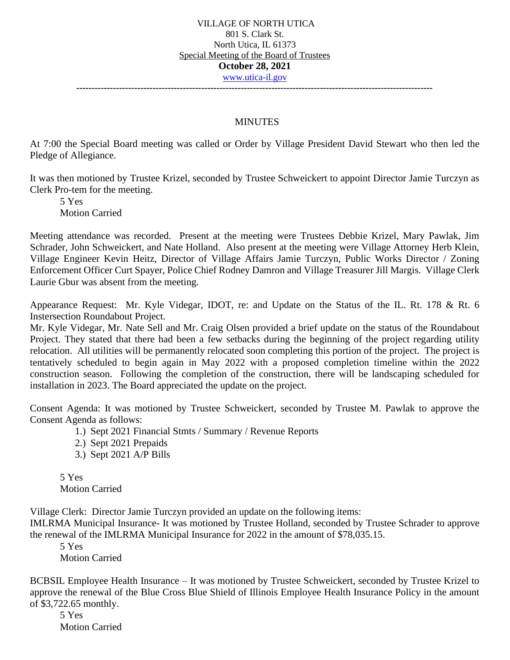### **MINUTES**

At 7:00 the Special Board meeting was called or Order by Village President David Stewart who then led the Pledge of Allegiance.

It was then motioned by Trustee Krizel, seconded by Trustee Schweickert to appoint Director Jamie Turczyn as Clerk Pro-tem for the meeting.

5 Yes Motion Carried

Meeting attendance was recorded. Present at the meeting were Trustees Debbie Krizel, Mary Pawlak, Jim Schrader, John Schweickert, and Nate Holland. Also present at the meeting were Village Attorney Herb Klein, Village Engineer Kevin Heitz, Director of Village Affairs Jamie Turczyn, Public Works Director / Zoning Enforcement Officer Curt Spayer, Police Chief Rodney Damron and Village Treasurer Jill Margis. Village Clerk Laurie Gbur was absent from the meeting.

Appearance Request: Mr. Kyle Videgar, IDOT, re: and Update on the Status of the IL. Rt. 178 & Rt. 6 Instersection Roundabout Project.

Mr. Kyle Videgar, Mr. Nate Sell and Mr. Craig Olsen provided a brief update on the status of the Roundabout Project. They stated that there had been a few setbacks during the beginning of the project regarding utility relocation. All utilities will be permanently relocated soon completing this portion of the project. The project is tentatively scheduled to begin again in May 2022 with a proposed completion timeline within the 2022 construction season. Following the completion of the construction, there will be landscaping scheduled for installation in 2023. The Board appreciated the update on the project.

Consent Agenda: It was motioned by Trustee Schweickert, seconded by Trustee M. Pawlak to approve the Consent Agenda as follows:

- 1.) Sept 2021 Financial Stmts / Summary / Revenue Reports
- 2.) Sept 2021 Prepaids
- 3.) Sept 2021 A/P Bills

5 Yes Motion Carried

Village Clerk: Director Jamie Turczyn provided an update on the following items:

IMLRMA Municipal Insurance- It was motioned by Trustee Holland, seconded by Trustee Schrader to approve the renewal of the IMLRMA Municipal Insurance for 2022 in the amount of \$78,035.15.

5 Yes

Motion Carried

BCBSIL Employee Health Insurance – It was motioned by Trustee Schweickert, seconded by Trustee Krizel to approve the renewal of the Blue Cross Blue Shield of Illinois Employee Health Insurance Policy in the amount of \$3,722.65 monthly.

5 Yes Motion Carried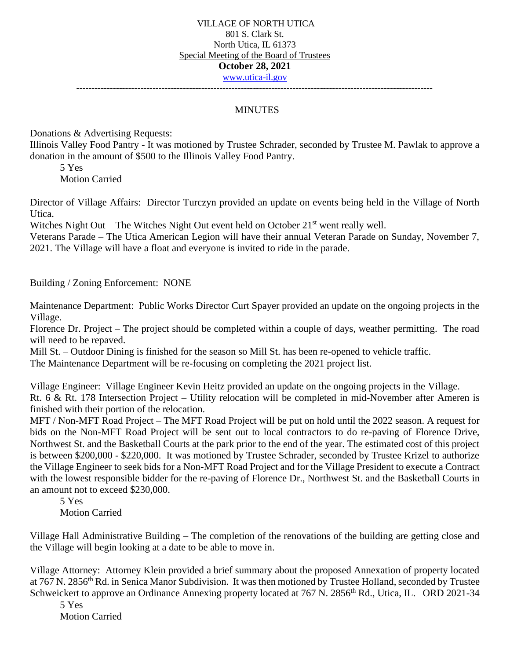## VILLAGE OF NORTH UTICA 801 S. Clark St. North Utica, IL 61373 Special Meeting of the Board of Trustees **October 28, 2021** [www.utica-il.gov](http://www.utica-il.gov/)

**---------------------------------------------------------------------------------------------------------------------**

## MINUTES

Donations & Advertising Requests:

Illinois Valley Food Pantry - It was motioned by Trustee Schrader, seconded by Trustee M. Pawlak to approve a donation in the amount of \$500 to the Illinois Valley Food Pantry.

5 Yes Motion Carried

Director of Village Affairs: Director Turczyn provided an update on events being held in the Village of North Utica.

Witches Night Out – The Witches Night Out event held on October  $21<sup>st</sup>$  went really well.

Veterans Parade – The Utica American Legion will have their annual Veteran Parade on Sunday, November 7, 2021. The Village will have a float and everyone is invited to ride in the parade.

Building / Zoning Enforcement: NONE

Maintenance Department: Public Works Director Curt Spayer provided an update on the ongoing projects in the Village.

Florence Dr. Project – The project should be completed within a couple of days, weather permitting. The road will need to be repaved.

Mill St. – Outdoor Dining is finished for the season so Mill St. has been re-opened to vehicle traffic.

The Maintenance Department will be re-focusing on completing the 2021 project list.

Village Engineer: Village Engineer Kevin Heitz provided an update on the ongoing projects in the Village. Rt. 6 & Rt. 178 Intersection Project – Utility relocation will be completed in mid-November after Ameren is finished with their portion of the relocation.

MFT / Non-MFT Road Project – The MFT Road Project will be put on hold until the 2022 season. A request for bids on the Non-MFT Road Project will be sent out to local contractors to do re-paving of Florence Drive, Northwest St. and the Basketball Courts at the park prior to the end of the year. The estimated cost of this project is between \$200,000 - \$220,000. It was motioned by Trustee Schrader, seconded by Trustee Krizel to authorize the Village Engineer to seek bids for a Non-MFT Road Project and for the Village President to execute a Contract with the lowest responsible bidder for the re-paving of Florence Dr., Northwest St. and the Basketball Courts in an amount not to exceed \$230,000.

5 Yes Motion Carried

Village Hall Administrative Building – The completion of the renovations of the building are getting close and the Village will begin looking at a date to be able to move in.

Village Attorney: Attorney Klein provided a brief summary about the proposed Annexation of property located at 767 N. 2856<sup>th</sup> Rd. in Senica Manor Subdivision. It was then motioned by Trustee Holland, seconded by Trustee Schweickert to approve an Ordinance Annexing property located at 767 N. 2856<sup>th</sup> Rd., Utica, IL. ORD 2021-34

5 Yes Motion Carried